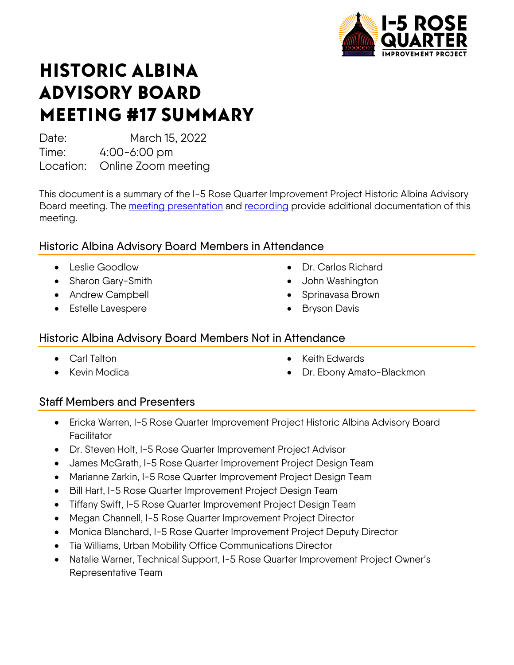

# HISTORIC ALBINA ADVISORY BOARD MEETING #17 SUMMARY

Date: March 15, 2022

Time: 4:00-6:00 pm

Location: Online Zoom meeting

This document is a summary of the I-5 Rose Quarter Improvement Project Historic Albina Advisory Board meeting. The [meeting presentation](https://i5rosequarter.oregon.gov/CommitteesDocs/2022_0315_HAAB-Presentation-Final_remediated.pdf) and [recording](https://www.youtube.com/watch?v=73nmR0gL-4k) provide additional documentation of this meeting.

## Historic Albina Advisory Board Members in Attendance

- Leslie Goodlow
- Sharon Gary-Smith
- Andrew Campbell
- Estelle Lavespere
- Dr. Carlos Richard
- John Washington
- Sprinavasa Brown
- **Bryson Davis**

### Historic Albina Advisory Board Members Not in Attendance

- Carl Talton
- Kevin Modica
- Keith Edwards
- Dr. Ebony Amato-Blackmon

## Staff Members and Presenters

- Ericka Warren, I-5 Rose Quarter Improvement Project Historic Albina Advisory Board **Facilitator**
- Dr. Steven Holt, I-5 Rose Quarter Improvement Project Advisor
- James McGrath, I-5 Rose Quarter Improvement Project Design Team
- Marianne Zarkin, I-5 Rose Quarter Improvement Project Design Team
- Bill Hart, I-5 Rose Quarter Improvement Project Design Team
- Tiffany Swift, I-5 Rose Quarter Improvement Project Design Team
- Megan Channell, I-5 Rose Quarter Improvement Project Director
- Monica Blanchard, I-5 Rose Quarter Improvement Project Deputy Director
- Tia Williams, Urban Mobility Office Communications Director
- Natalie Warner, Technical Support, I-5 Rose Quarter Improvement Project Owner's Representative Team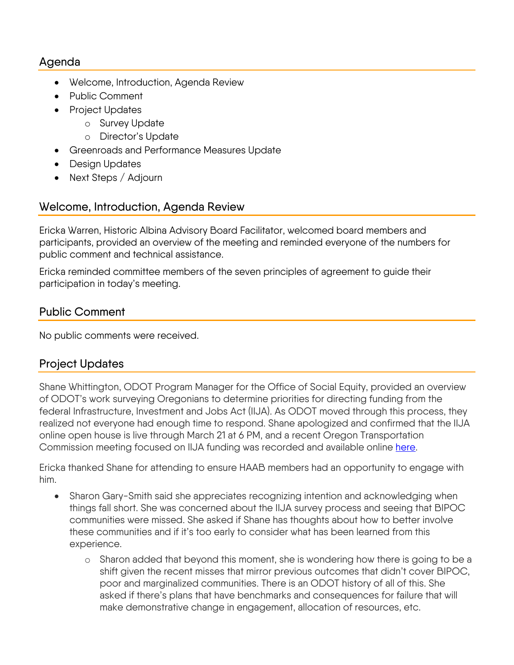#### Agenda

- Welcome, Introduction, Agenda Review
- Public Comment
- Project Updates
	- o Survey Update
	- o Director's Update
- Greenroads and Performance Measures Update
- Design Updates
- Next Steps / Adjourn

#### Welcome, Introduction, Agenda Review

Ericka Warren, Historic Albina Advisory Board Facilitator, welcomed board members and participants, provided an overview of the meeting and reminded everyone of the numbers for public comment and technical assistance.

Ericka reminded committee members of the seven principles of agreement to guide their participation in today's meeting.

#### Public Comment

No public comments were received.

### Project Updates

Shane Whittington, ODOT Program Manager for the Office of Social Equity, provided an overview of ODOT's work surveying Oregonians to determine priorities for directing funding from the federal Infrastructure, Investment and Jobs Act (IIJA). As ODOT moved through this process, they realized not everyone had enough time to respond. Shane apologized and confirmed that the IIJA online open house is live through March 21 at 6 PM, and a recent Oregon Transportation Commission meeting focused on IIJA funding was recorded and available online [here.](https://www.oregon.gov/odot/Pages/IIJA.aspx)

Ericka thanked Shane for attending to ensure HAAB members had an opportunity to engage with him.

- Sharon Gary-Smith said she appreciates recognizing intention and acknowledging when things fall short. She was concerned about the IIJA survey process and seeing that BIPOC communities were missed. She asked if Shane has thoughts about how to better involve these communities and if it's too early to consider what has been learned from this experience.
	- o Sharon added that beyond this moment, she is wondering how there is going to be a shift given the recent misses that mirror previous outcomes that didn't cover BIPOC, poor and marginalized communities. There is an ODOT history of all of this. She asked if there's plans that have benchmarks and consequences for failure that will make demonstrative change in engagement, allocation of resources, etc.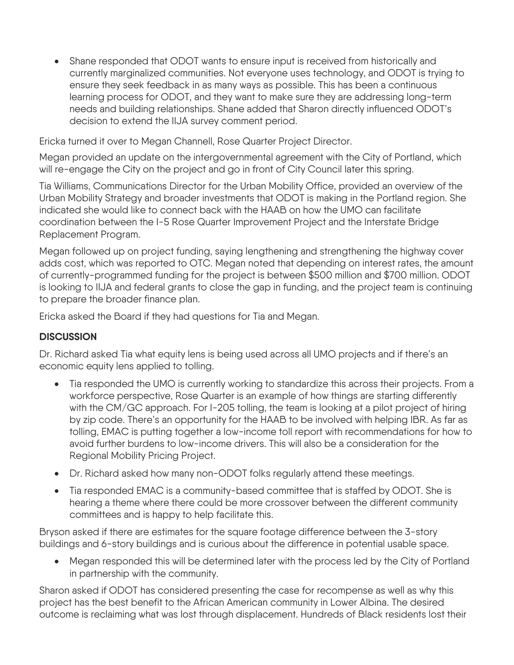• Shane responded that ODOT wants to ensure input is received from historically and currently marginalized communities. Not everyone uses technology, and ODOT is trying to ensure they seek feedback in as many ways as possible. This has been a continuous learning process for ODOT, and they want to make sure they are addressing long-term needs and building relationships. Shane added that Sharon directly influenced ODOT's decision to extend the IIJA survey comment period.

Ericka turned it over to Megan Channell, Rose Quarter Project Director.

Megan provided an update on the intergovernmental agreement with the City of Portland, which will re-engage the City on the project and go in front of City Council later this spring.

Tia Williams, Communications Director for the Urban Mobility Office, provided an overview of the Urban Mobility Strategy and broader investments that ODOT is making in the Portland region. She indicated she would like to connect back with the HAAB on how the UMO can facilitate coordination between the I-5 Rose Quarter Improvement Project and the Interstate Bridge Replacement Program.

Megan followed up on project funding, saying lengthening and strengthening the highway cover adds cost, which was reported to OTC. Megan noted that depending on interest rates, the amount of currently-programmed funding for the project is between \$500 million and \$700 million. ODOT is looking to IIJA and federal grants to close the gap in funding, and the project team is continuing to prepare the broader finance plan.

Ericka asked the Board if they had questions for Tia and Megan.

#### **DISCUSSION**

Dr. Richard asked Tia what equity lens is being used across all UMO projects and if there's an economic equity lens applied to tolling.

- Tia responded the UMO is currently working to standardize this across their projects. From a workforce perspective, Rose Quarter is an example of how things are starting differently with the CM/GC approach. For I-205 tolling, the team is looking at a pilot project of hiring by zip code. There's an opportunity for the HAAB to be involved with helping IBR. As far as tolling, EMAC is putting together a low-income toll report with recommendations for how to avoid further burdens to low-income drivers. This will also be a consideration for the Regional Mobility Pricing Project.
- Dr. Richard asked how many non-ODOT folks regularly attend these meetings.
- Tia responded EMAC is a community-based committee that is staffed by ODOT. She is hearing a theme where there could be more crossover between the different community committees and is happy to help facilitate this.

Bryson asked if there are estimates for the square footage difference between the 3-story buildings and 6-story buildings and is curious about the difference in potential usable space.

• Megan responded this will be determined later with the process led by the City of Portland in partnership with the community.

Sharon asked if ODOT has considered presenting the case for recompense as well as why this project has the best benefit to the African American community in Lower Albina. The desired outcome is reclaiming what was lost through displacement. Hundreds of Black residents lost their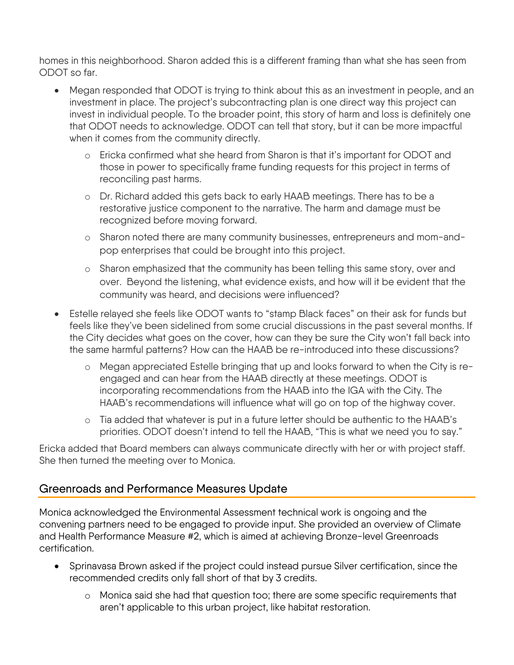homes in this neighborhood. Sharon added this is a different framing than what she has seen from ODOT so far.

- Megan responded that ODOT is trying to think about this as an investment in people, and an investment in place. The project's subcontracting plan is one direct way this project can invest in individual people. To the broader point, this story of harm and loss is definitely one that ODOT needs to acknowledge. ODOT can tell that story, but it can be more impactful when it comes from the community directly.
	- o Ericka confirmed what she heard from Sharon is that it's important for ODOT and those in power to specifically frame funding requests for this project in terms of reconciling past harms.
	- o Dr. Richard added this gets back to early HAAB meetings. There has to be a restorative justice component to the narrative. The harm and damage must be recognized before moving forward.
	- o Sharon noted there are many community businesses, entrepreneurs and mom-andpop enterprises that could be brought into this project.
	- o Sharon emphasized that the community has been telling this same story, over and over. Beyond the listening, what evidence exists, and how will it be evident that the community was heard, and decisions were influenced?
- Estelle relayed she feels like ODOT wants to "stamp Black faces" on their ask for funds but feels like they've been sidelined from some crucial discussions in the past several months. If the City decides what goes on the cover, how can they be sure the City won't fall back into the same harmful patterns? How can the HAAB be re-introduced into these discussions?
	- o Megan appreciated Estelle bringing that up and looks forward to when the City is reengaged and can hear from the HAAB directly at these meetings. ODOT is incorporating recommendations from the HAAB into the IGA with the City. The HAAB's recommendations will influence what will go on top of the highway cover.
	- o Tia added that whatever is put in a future letter should be authentic to the HAAB's priorities. ODOT doesn't intend to tell the HAAB, "This is what we need you to say."

Ericka added that Board members can always communicate directly with her or with project staff. She then turned the meeting over to Monica.

#### Greenroads and Performance Measures Update

Monica acknowledged the Environmental Assessment technical work is ongoing and the convening partners need to be engaged to provide input. She provided an overview of Climate and Health Performance Measure #2, which is aimed at achieving Bronze-level Greenroads certification.

- Sprinavasa Brown asked if the project could instead pursue Silver certification, since the recommended credits only fall short of that by 3 credits.
	- o Monica said she had that question too; there are some specific requirements that aren't applicable to this urban project, like habitat restoration.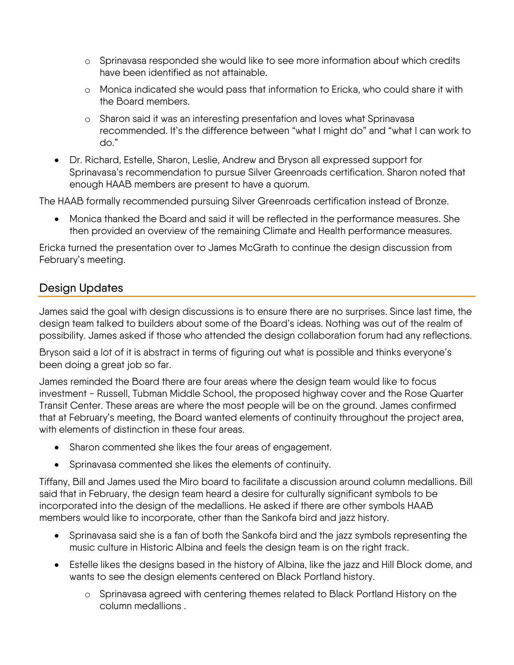- o Sprinavasa responded she would like to see more information about which credits have been identified as not attainable.
- o Monica indicated she would pass that information to Ericka, who could share it with the Board members.
- o Sharon said it was an interesting presentation and loves what Sprinavasa recommended. It's the difference between "what I might do" and "what I can work to do."
- Dr. Richard, Estelle, Sharon, Leslie, Andrew and Bryson all expressed support for Sprinavasa's recommendation to pursue Silver Greenroads certification. Sharon noted that enough HAAB members are present to have a quorum.

The HAAB formally recommended pursuing Silver Greenroads certification instead of Bronze.

• Monica thanked the Board and said it will be reflected in the performance measures. She then provided an overview of the remaining Climate and Health performance measures.

Ericka turned the presentation over to James McGrath to continue the design discussion from February's meeting.

### Design Updates

James said the goal with design discussions is to ensure there are no surprises. Since last time, the design team talked to builders about some of the Board's ideas. Nothing was out of the realm of possibility. James asked if those who attended the design collaboration forum had any reflections.

Bryson said a lot of it is abstract in terms of figuring out what is possible and thinks everyone's been doing a great job so far.

James reminded the Board there are four areas where the design team would like to focus investment - Russell, Tubman Middle School, the proposed highway cover and the Rose Quarter Transit Center. These areas are where the most people will be on the ground. James confirmed that at February's meeting, the Board wanted elements of continuity throughout the project area, with elements of distinction in these four areas.

- Sharon commented she likes the four areas of engagement.
- Sprinavasa commented she likes the elements of continuity.

Tiffany, Bill and James used the Miro board to facilitate a discussion around column medallions. Bill said that in February, the design team heard a desire for culturally significant symbols to be incorporated into the design of the medallions. He asked if there are other symbols HAAB members would like to incorporate, other than the Sankofa bird and jazz history.

- Sprinavasa said she is a fan of both the Sankofa bird and the jazz symbols representing the music culture in Historic Albina and feels the design team is on the right track.
- Estelle likes the designs based in the history of Albina, like the jazz and Hill Block dome, and wants to see the design elements centered on Black Portland history.
	- o Sprinavasa agreed with centering themes related to Black Portland History on the column medallions .